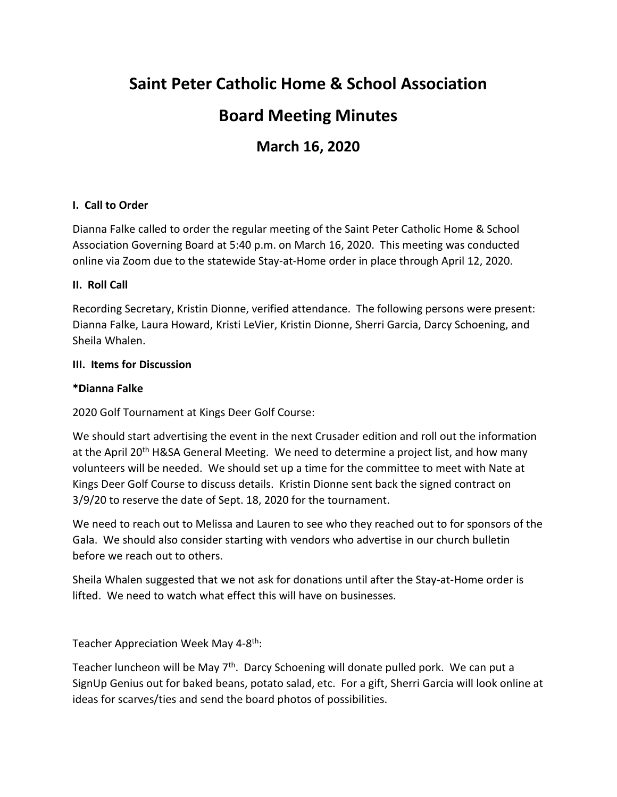# **Saint Peter Catholic Home & School Association**

## **Board Meeting Minutes**

## **March 16, 2020**

## **I. Call to Order**

Dianna Falke called to order the regular meeting of the Saint Peter Catholic Home & School Association Governing Board at 5:40 p.m. on March 16, 2020. This meeting was conducted online via Zoom due to the statewide Stay-at-Home order in place through April 12, 2020.

### **II. Roll Call**

Recording Secretary, Kristin Dionne, verified attendance. The following persons were present: Dianna Falke, Laura Howard, Kristi LeVier, Kristin Dionne, Sherri Garcia, Darcy Schoening, and Sheila Whalen.

#### **III. Items for Discussion**

### **\*Dianna Falke**

2020 Golf Tournament at Kings Deer Golf Course:

We should start advertising the event in the next Crusader edition and roll out the information at the April 20<sup>th</sup> H&SA General Meeting. We need to determine a project list, and how many volunteers will be needed. We should set up a time for the committee to meet with Nate at Kings Deer Golf Course to discuss details. Kristin Dionne sent back the signed contract on 3/9/20 to reserve the date of Sept. 18, 2020 for the tournament.

We need to reach out to Melissa and Lauren to see who they reached out to for sponsors of the Gala. We should also consider starting with vendors who advertise in our church bulletin before we reach out to others.

Sheila Whalen suggested that we not ask for donations until after the Stay-at-Home order is lifted. We need to watch what effect this will have on businesses.

Teacher Appreciation Week May 4-8<sup>th</sup>:

Teacher luncheon will be May 7th. Darcy Schoening will donate pulled pork. We can put a SignUp Genius out for baked beans, potato salad, etc. For a gift, Sherri Garcia will look online at ideas for scarves/ties and send the board photos of possibilities.